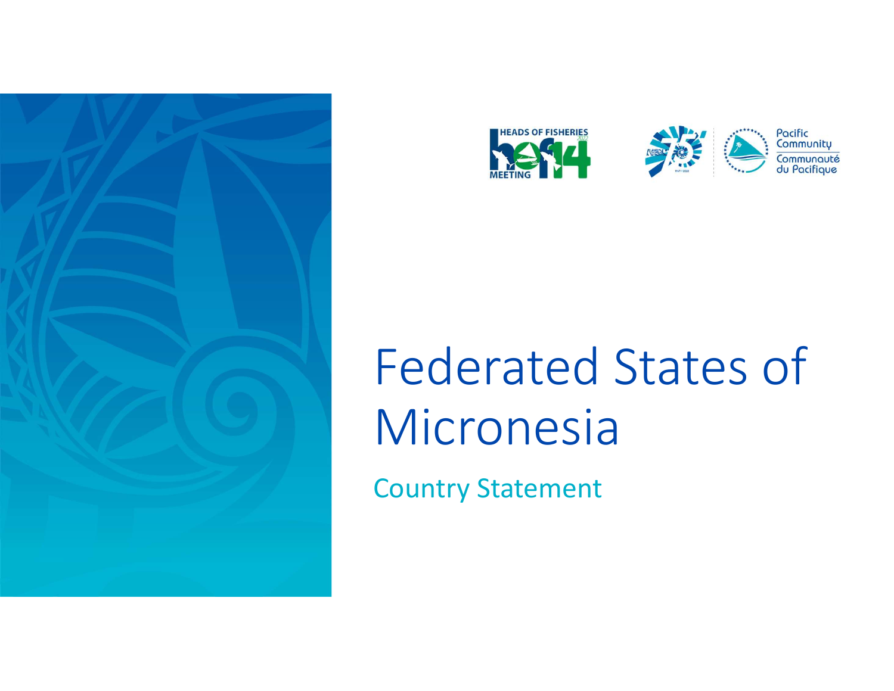





Pacific Community ommunauté

# Federated States of Micronesia

Country Statement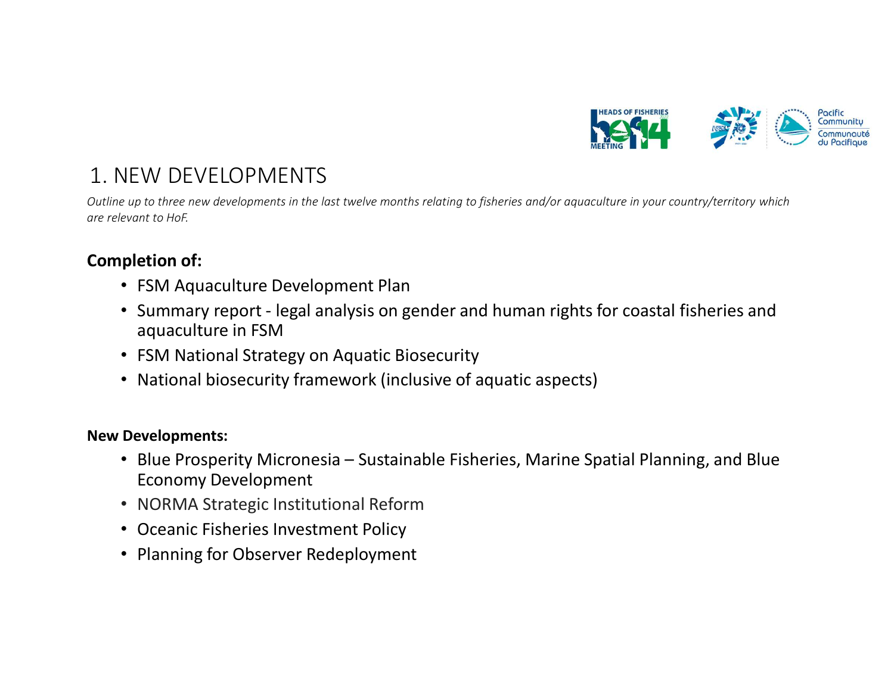

1. NEW DEVELOPMENTS<br>
Dutline up to three new developments in the last twelve months relating to f<br>
are relevant to HoF.<br> **Completion of:** Outline up to three new developments in the last twelve months relating to fisheries and/or aquaculture in your country/territory which are relevant to HoF.

# Completion of:

- FSM Aquaculture Development Plan
- **EW DEVELOPMENTS**<br>
For the distribution of the lost twelve months relating to fisheries and/or aquaculture in your country/territory which<br>
evant to liof.<br>
 SM Aquaculture Development Plan<br>
 SM Mational Strategy on Aquat aquaculture in FSM
- FSM National Strategy on Aquatic Biosecurity
- National biosecurity framework (inclusive of aquatic aspects)

# New Developments:

- But we but the end developments in the last twelve months relating to fisheries and/or aquaculture in your country/territory which<br>
evant to Hof.<br>
 FSM Aquaculture Development Plan<br>
 Summary report legal analysis on Economy Development **• FSM Aquaculture Development Plan**<br>• Summary report - legal analysis on gender and human rights for coastal fish<br>• FSM National Strategy on Aquatic Biosecurity<br>• FSM National Biosecurity framework (inclusive of aquatic a
- 
- Oceanic Fisheries Investment Policy
- Planning for Observer Redeployment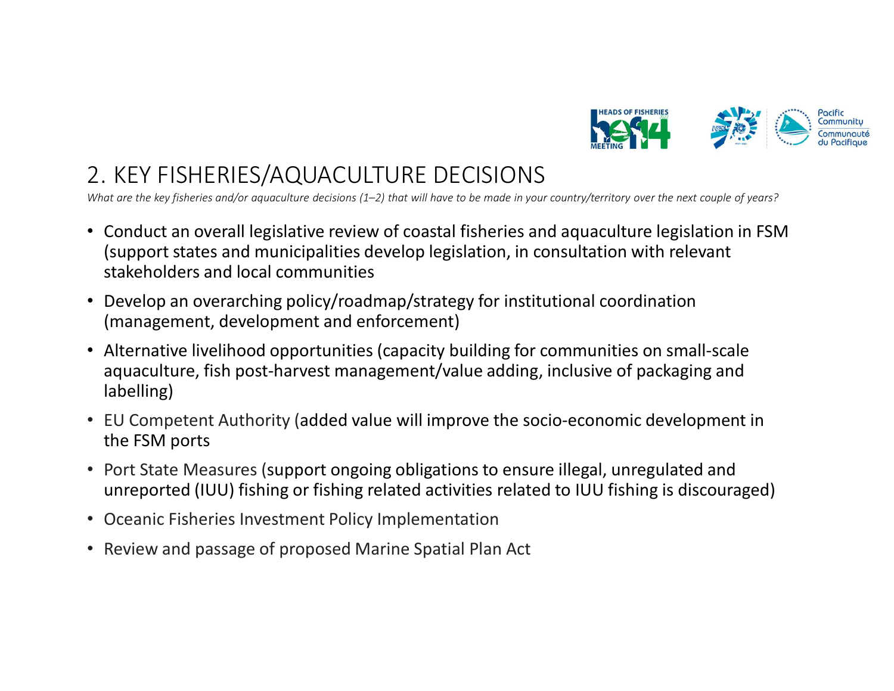

What are the key fisheries and/or aquaculture decisions (1–2) that will have to be made in your country/territory over the next couple of years?

- 2. KEY FISHERIES/AQUACULTURE DECISIONS<br>
What are the key fisheries and/or aquaculture decisions (1–2) that will have to be made in your country/territory over the next<br>
 Conduct an overall legislative review of coastal fi • Conduct an overall legislative review of coastal fisheries and aquaculture legislation in FSM (support states and municipalities develop legislation, in consultation with relevant stakeholders and local communities
- Develop an overarching policy/roadmap/strategy for institutional coordination (management, development and enforcement)
- Alternative livelihood opportunities (capacity building for communities on small-scale aquaculture, fish post-harvest management/value adding, inclusive of packaging and labelling)
- EU Competent Authority (added value will improve the socio-economic development in the FSM ports
- Port State Measures (support ongoing obligations to ensure illegal, unregulated and unreported (IUU) fishing or fishing related activities related to IUU fishing is discouraged)
- Oceanic Fisheries Investment Policy Implementation
- Review and passage of proposed Marine Spatial Plan Act